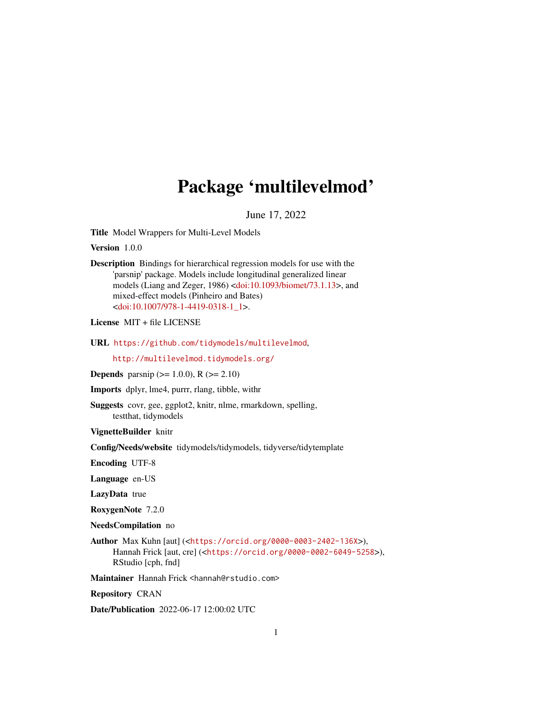# Package 'multilevelmod'

June 17, 2022

Title Model Wrappers for Multi-Level Models

Version 1.0.0

Description Bindings for hierarchical regression models for use with the 'parsnip' package. Models include longitudinal generalized linear models (Liang and Zeger, 1986) [<doi:10.1093/biomet/73.1.13>](https://doi.org/10.1093/biomet/73.1.13), and mixed-effect models (Pinheiro and Bates) [<doi:10.1007/978-1-4419-0318-1\\_1>](https://doi.org/10.1007/978-1-4419-0318-1_1).

License MIT + file LICENSE

URL <https://github.com/tidymodels/multilevelmod>,

<http://multilevelmod.tidymodels.org/>

**Depends** parsnip ( $>= 1.0.0$ ), R ( $>= 2.10$ )

Imports dplyr, lme4, purrr, rlang, tibble, withr

Suggests covr, gee, ggplot2, knitr, nlme, rmarkdown, spelling, testthat, tidymodels

VignetteBuilder knitr

Config/Needs/website tidymodels/tidymodels, tidyverse/tidytemplate

Encoding UTF-8

Language en-US

LazyData true

RoxygenNote 7.2.0

NeedsCompilation no

Author Max Kuhn [aut] (<<https://orcid.org/0000-0003-2402-136X>>), Hannah Frick [aut, cre] (<<https://orcid.org/0000-0002-6049-5258>>), RStudio [cph, fnd]

Maintainer Hannah Frick <hannah@rstudio.com>

Repository CRAN

Date/Publication 2022-06-17 12:00:02 UTC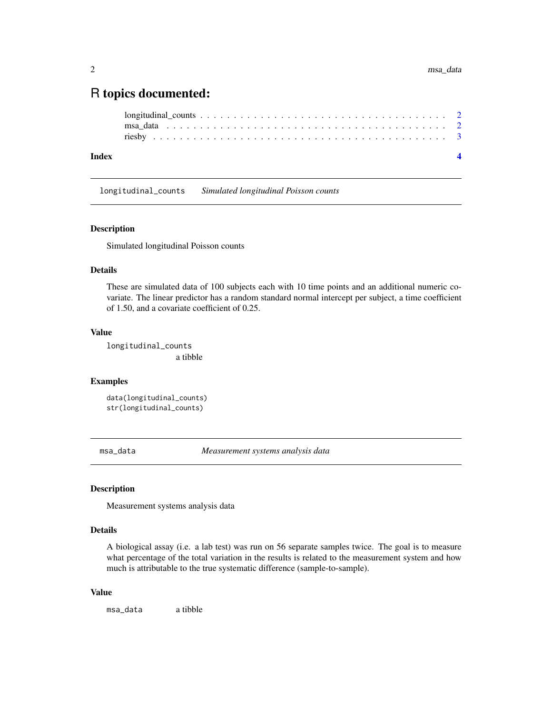# <span id="page-1-0"></span>R topics documented:

```
longitudinal_counts . . . . . . . . . . . . . . . . . . . . . . . . . . . . . . . . . . . . . 2
msa_data . . . . . . . . . . . . . . . . . . . . . . . . . . . . . . . . . . . . . . . . . . 2
riesby . . . . . . . . . . . . . . . . . . . . . . . . . . . . . . . . . . . . . . . . . . . . 3
```
#### **Index** [4](#page-3-0)

longitudinal\_counts *Simulated longitudinal Poisson counts*

#### Description

Simulated longitudinal Poisson counts

#### Details

These are simulated data of 100 subjects each with 10 time points and an additional numeric covariate. The linear predictor has a random standard normal intercept per subject, a time coefficient of 1.50, and a covariate coefficient of 0.25.

#### Value

longitudinal\_counts a tibble

# Examples

```
data(longitudinal_counts)
str(longitudinal_counts)
```
msa\_data *Measurement systems analysis data*

#### Description

Measurement systems analysis data

#### Details

A biological assay (i.e. a lab test) was run on 56 separate samples twice. The goal is to measure what percentage of the total variation in the results is related to the measurement system and how much is attributable to the true systematic difference (sample-to-sample).

#### Value

msa\_data a tibble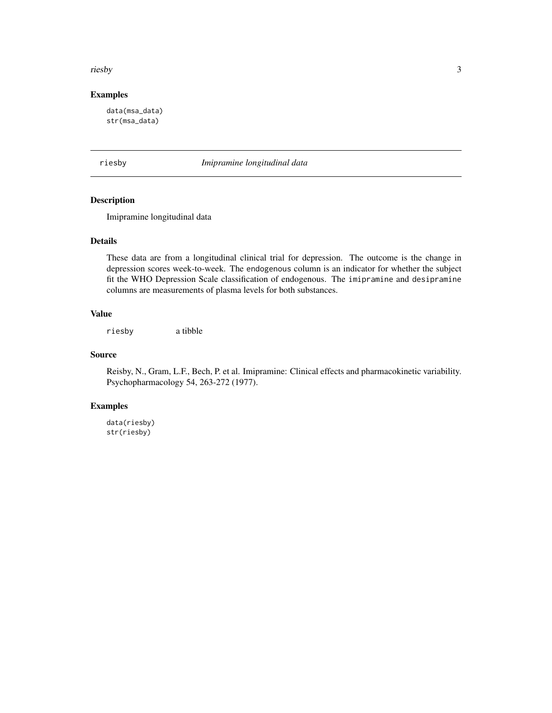#### <span id="page-2-0"></span>riesby 3

# Examples

data(msa\_data) str(msa\_data)

riesby *Imipramine longitudinal data*

# Description

Imipramine longitudinal data

# Details

These data are from a longitudinal clinical trial for depression. The outcome is the change in depression scores week-to-week. The endogenous column is an indicator for whether the subject fit the WHO Depression Scale classification of endogenous. The imipramine and desipramine columns are measurements of plasma levels for both substances.

## Value

riesby a tibble

#### Source

Reisby, N., Gram, L.F., Bech, P. et al. Imipramine: Clinical effects and pharmacokinetic variability. Psychopharmacology 54, 263-272 (1977).

# Examples

data(riesby) str(riesby)